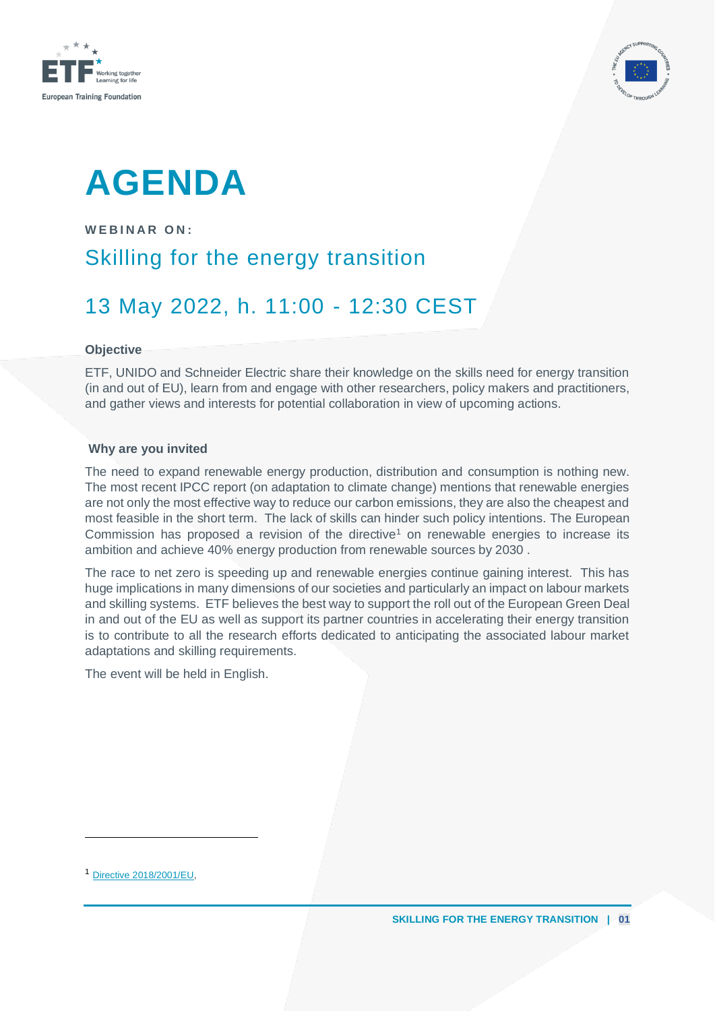



## **AGENDA**

**W E B I N A R O N :** Skilling for the energy transition 13 May 2022, h. 11:00 - 12:30 CEST

## **Objective**

ETF, UNIDO and Schneider Electric share their knowledge on the skills need for energy transition (in and out of EU), learn from and engage with other researchers, policy makers and practitioners, and gather views and interests for potential collaboration in view of upcoming actions.

## **Why are you invited**

The need to expand renewable energy production, distribution and consumption is nothing new. The most recent IPCC report (on adaptation to climate change) mentions that renewable energies are not only the most effective way to reduce our carbon emissions, they are also the cheapest and most feasible in the short term. The lack of skills can hinder such policy intentions. The European Commission has proposed a revision of the directive<sup>1</sup> on renewable energies to increase its ambition and achieve 40% energy production from renewable sources by 2030 .

The race to net zero is speeding up and renewable energies continue gaining interest. This has huge implications in many dimensions of our societies and particularly an impact on labour markets and skilling systems. ETF believes the best way to support the roll out of the European Green Deal in and out of the EU as well as support its partner countries in accelerating their energy transition is to contribute to all the research efforts dedicated to anticipating the associated labour market adaptations and skilling requirements.

The event will be held in English.

<sup>1</sup> [Directive 2018/2001/EU,](https://eur-lex.europa.eu/legal-content/EN/TXT/?uri=uriserv:OJ.L_.2018.328.01.0082.01.ENG&toc=OJ:L:2018:328:TOC)